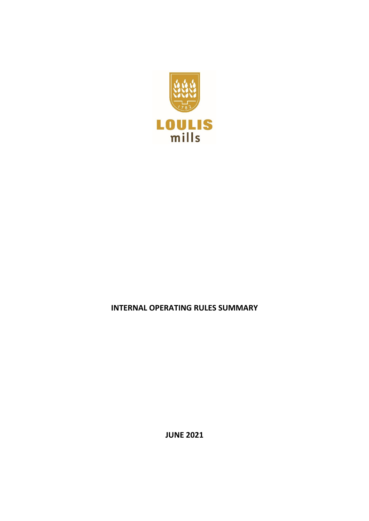

# **INTERNAL OPERATING RULES SUMMARY**

**JUNE 2021**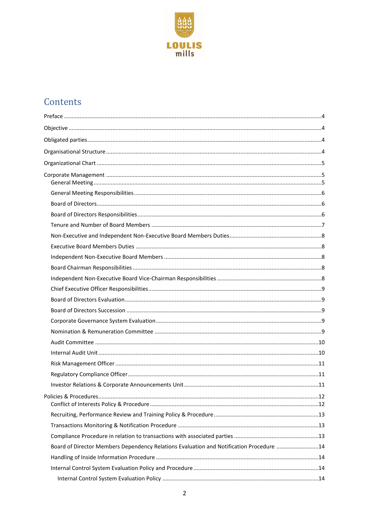

# Contents

| Board of Director Members Dependency Relations Evaluation and Notification Procedure 14 |  |
|-----------------------------------------------------------------------------------------|--|
|                                                                                         |  |
|                                                                                         |  |
|                                                                                         |  |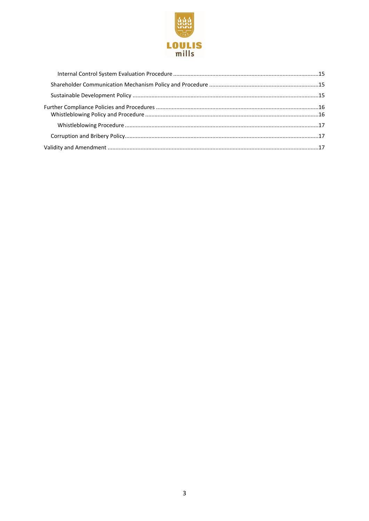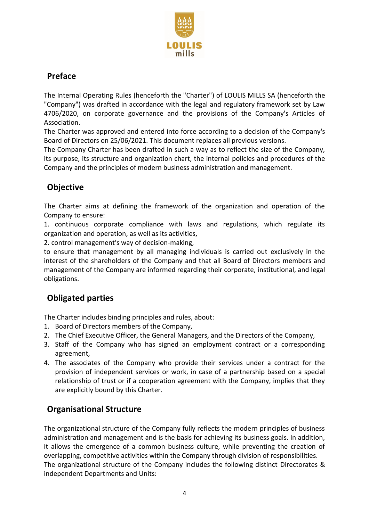

# <span id="page-3-0"></span>**Preface**

The Internal Operating Rules (henceforth the "Charter") of LOULIS MILLS SA (henceforth the "Company") was drafted in accordance with the legal and regulatory framework set by Law 4706/2020, on corporate governance and the provisions of the Company's Articles of Association.

The Charter was approved and entered into force according to a decision of the Company's Board of Directors on 25/06/2021. This document replaces all previous versions.

The Company Charter has been drafted in such a way as to reflect the size of the Company, its purpose, its structure and organization chart, the internal policies and procedures of the Company and the principles of modern business administration and management.

# <span id="page-3-1"></span>**Objective**

The Charter aims at defining the framework of the organization and operation of the Company to ensure:

1. continuous corporate compliance with laws and regulations, which regulate its organization and operation, as well as its activities,

2. control management's way of decision-making,

to ensure that management by all managing individuals is carried out exclusively in the interest of the shareholders of the Company and that all Board of Directors members and management of the Company are informed regarding their corporate, institutional, and legal obligations.

# <span id="page-3-2"></span>**Obligated parties**

The Charter includes binding principles and rules, about:

- 1. Board of Directors members of the Company,
- 2. The Chief Executive Officer, the General Managers, and the Directors of the Company,
- 3. Staff of the Company who has signed an employment contract or a corresponding agreement,
- 4. The associates of the Company who provide their services under a contract for the provision of independent services or work, in case of a partnership based on a special relationship of trust or if a cooperation agreement with the Company, implies that they are explicitly bound by this Charter.

# <span id="page-3-3"></span>**Organisational Structure**

The organizational structure of the Company fully reflects the modern principles of business administration and management and is the basis for achieving its business goals. In addition, it allows the emergence of a common business culture, while preventing the creation of overlapping, competitive activities within the Company through division of responsibilities. The organizational structure of the Company includes the following distinct Directorates & independent Departments and Units: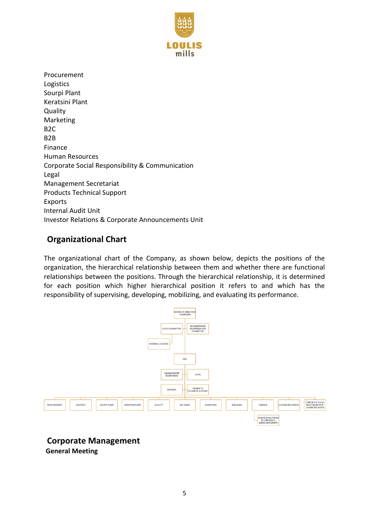

Procurement Logistics Sourpi Plant Keratsini Plant **Quality** Marketing B2C B2B Finance Human Resources Corporate Social Responsibility & Communication Legal Management Secretariat Products Technical Support Exports Internal Audit Unit Investor Relations & Corporate Announcements Unit

# <span id="page-4-0"></span>**Organizational Chart**

The organizational chart of the Company, as shown below, depicts the positions of the organization, the hierarchical relationship between them and whether there are functional relationships between the positions. Through the hierarchical relationship, it is determined for each position which higher hierarchical position it refers to and which has the responsibility of supervising, developing, mobilizing, and evaluating its performance.



<span id="page-4-2"></span><span id="page-4-1"></span>**Corporate Management General Meeting**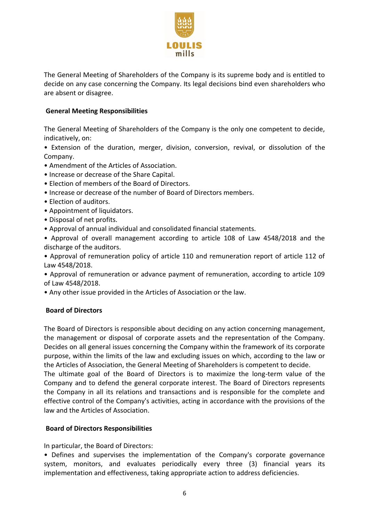

The General Meeting of Shareholders of the Company is its supreme body and is entitled to decide on any case concerning the Company. Its legal decisions bind even shareholders who are absent or disagree.

# <span id="page-5-0"></span>**General Meeting Responsibilities**

The General Meeting of Shareholders of the Company is the only one competent to decide, indicatively, on:

• Extension of the duration, merger, division, conversion, revival, or dissolution of the Company.

- Amendment of the Articles of Association.
- Increase or decrease of the Share Capital.
- Election of members of the Board of Directors.
- Increase or decrease of the number of Board of Directors members.
- Election of auditors.
- Appointment of liquidators.
- Disposal of net profits.
- Approval of annual individual and consolidated financial statements.

• Approval of overall management according to article 108 of Law 4548/2018 and the discharge of the auditors.

• Approval of remuneration policy of article 110 and remuneration report of article 112 of Law 4548/2018.

• Approval of remuneration or advance payment of remuneration, according to article 109 of Law 4548/2018.

• Any other issue provided in the Articles of Association or the law.

# <span id="page-5-1"></span>**Board of Directors**

The Board of Directors is responsible about deciding on any action concerning management, the management or disposal of corporate assets and the representation of the Company. Decides on all general issues concerning the Company within the framework of its corporate purpose, within the limits of the law and excluding issues on which, according to the law or the Articles of Association, the General Meeting of Shareholders is competent to decide.

The ultimate goal of the Board of Directors is to maximize the long-term value of the Company and to defend the general corporate interest. The Board of Directors represents the Company in all its relations and transactions and is responsible for the complete and effective control of the Company's activities, acting in accordance with the provisions of the law and the Articles of Association.

# <span id="page-5-2"></span>**Board of Directors Responsibilities**

In particular, the Board of Directors:

• Defines and supervises the implementation of the Company's corporate governance system, monitors, and evaluates periodically every three (3) financial years its implementation and effectiveness, taking appropriate action to address deficiencies.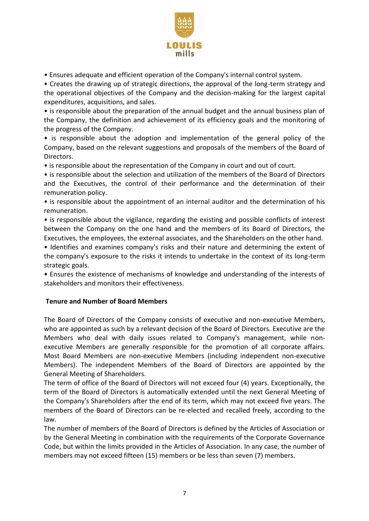

• Ensures adequate and efficient operation of the Company's internal control system.

• Creates the drawing up of strategic directions, the approval of the long-term strategy and the operational objectives of the Company and the decision-making for the largest capital expenditures, acquisitions, and sales.

• is responsible about the preparation of the annual budget and the annual business plan of the Company, the definition and achievement of its efficiency goals and the monitoring of the progress of the Company.

• is responsible about the adoption and implementation of the general policy of the Company, based on the relevant suggestions and proposals of the members of the Board of Directors.

• is responsible about the representation of the Company in court and out of court.

• is responsible about the selection and utilization of the members of the Board of Directors and the Executives, the control of their performance and the determination of their remuneration policy.

• is responsible about the appointment of an internal auditor and the determination of his remuneration.

• is responsible about the vigilance, regarding the existing and possible conflicts of interest between the Company on the one hand and the members of its Board of Directors, the Executives, the employees, the external associates, and the Shareholders on the other hand.

• Identifies and examines company's risks and their nature and determining the extent of the company's exposure to the risks it intends to undertake in the context of its long-term strategic goals.

• Ensures the existence of mechanisms of knowledge and understanding of the interests of stakeholders and monitors their effectiveness.

# <span id="page-6-0"></span>**Tenure and Number of Board Members**

The Board of Directors of the Company consists of executive and non-executive Members, who are appointed as such by a relevant decision of the Board of Directors. Executive are the Members who deal with daily issues related to Company's management, while nonexecutive Members are generally responsible for the promotion of all corporate affairs. Most Board Members are non-executive Members (including independent non-executive Members). The independent Members of the Board of Directors are appointed by the General Meeting of Shareholders.

The term of office of the Board of Directors will not exceed four (4) years. Exceptionally, the term of the Board of Directors is automatically extended until the next General Meeting of the Company's Shareholders after the end of its term, which may not exceed five years. The members of the Board of Directors can be re-elected and recalled freely, according to the law.

The number of members of the Board of Directors is defined by the Articles of Association or by the General Meeting in combination with the requirements of the Corporate Governance Code, but within the limits provided in the Articles of Association. In any case, the number of members may not exceed fifteen (15) members or be less than seven (7) members.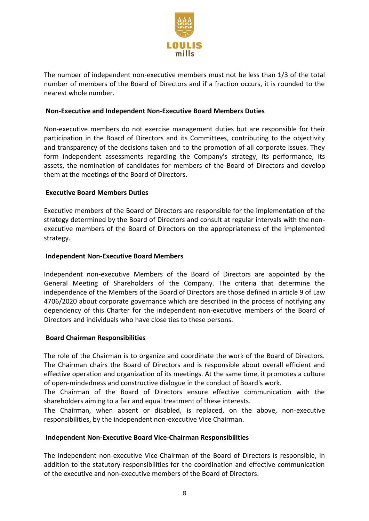

The number of independent non-executive members must not be less than 1/3 of the total number of members of the Board of Directors and if a fraction occurs, it is rounded to the nearest whole number.

#### <span id="page-7-0"></span>**Non-Executive and Independent Non-Executive Board Members Duties**

Non-executive members do not exercise management duties but are responsible for their participation in the Board of Directors and its Committees, contributing to the objectivity and transparency of the decisions taken and to the promotion of all corporate issues. They form independent assessments regarding the Company's strategy, its performance, its assets, the nomination of candidates for members of the Board of Directors and develop them at the meetings of the Board of Directors.

### <span id="page-7-1"></span>**Executive Board Members Duties**

Executive members of the Board of Directors are responsible for the implementation of the strategy determined by the Board of Directors and consult at regular intervals with the nonexecutive members of the Board of Directors on the appropriateness of the implemented strategy.

### <span id="page-7-2"></span>**Independent Non-Executive Board Members**

Independent non-executive Members of the Board of Directors are appointed by the General Meeting of Shareholders of the Company. The criteria that determine the independence of the Members of the Board of Directors are those defined in article 9 of Law 4706/2020 about corporate governance which are described in the process of notifying any dependency of this Charter for the independent non-executive members of the Board of Directors and individuals who have close ties to these persons.

#### <span id="page-7-3"></span>**Board Chairman Responsibilities**

The role of the Chairman is to organize and coordinate the work of the Board of Directors. The Chairman chairs the Board of Directors and is responsible about overall efficient and effective operation and organization of its meetings. At the same time, it promotes a culture of open-mindedness and constructive dialogue in the conduct of Board's work.

The Chairman of the Board of Directors ensure effective communication with the shareholders aiming to a fair and equal treatment of these interests.

The Chairman, when absent or disabled, is replaced, on the above, non-executive responsibilities, by the independent non-executive Vice Chairman.

#### <span id="page-7-4"></span>**Independent Non-Executive Board Vice-Chairman Responsibilities**

The independent non-executive Vice-Chairman of the Board of Directors is responsible, in addition to the statutory responsibilities for the coordination and effective communication of the executive and non-executive members of the Board of Directors.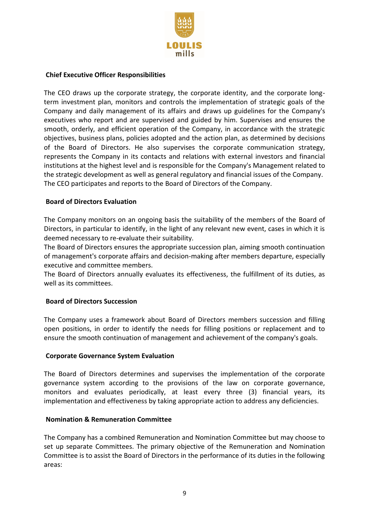

### <span id="page-8-0"></span>**Chief Executive Officer Responsibilities**

The CEO draws up the corporate strategy, the corporate identity, and the corporate longterm investment plan, monitors and controls the implementation of strategic goals of the Company and daily management of its affairs and draws up guidelines for the Company's executives who report and are supervised and guided by him. Supervises and ensures the smooth, orderly, and efficient operation of the Company, in accordance with the strategic objectives, business plans, policies adopted and the action plan, as determined by decisions of the Board of Directors. He also supervises the corporate communication strategy, represents the Company in its contacts and relations with external investors and financial institutions at the highest level and is responsible for the Company's Management related to the strategic development as well as general regulatory and financial issues of the Company. The CEO participates and reports to the Board of Directors of the Company.

### <span id="page-8-1"></span>**Board of Directors Evaluation**

The Company monitors on an ongoing basis the suitability of the members of the Board of Directors, in particular to identify, in the light of any relevant new event, cases in which it is deemed necessary to re-evaluate their suitability.

The Board of Directors ensures the appropriate succession plan, aiming smooth continuation of management's corporate affairs and decision-making after members departure, especially executive and committee members.

The Board of Directors annually evaluates its effectiveness, the fulfillment of its duties, as well as its committees.

#### <span id="page-8-2"></span>**Board of Directors Succession**

The Company uses a framework about Board of Directors members succession and filling open positions, in order to identify the needs for filling positions or replacement and to ensure the smooth continuation of management and achievement of the company's goals.

#### <span id="page-8-3"></span>**Corporate Governance System Evaluation**

The Board of Directors determines and supervises the implementation of the corporate governance system according to the provisions of the law on corporate governance, monitors and evaluates periodically, at least every three (3) financial years, its implementation and effectiveness by taking appropriate action to address any deficiencies.

#### <span id="page-8-4"></span>**Nomination & Remuneration Committee**

The Company has a combined Remuneration and Nomination Committee but may choose to set up separate Committees. The primary objective of the Remuneration and Nomination Committee is to assist the Board of Directors in the performance of its duties in the following areas: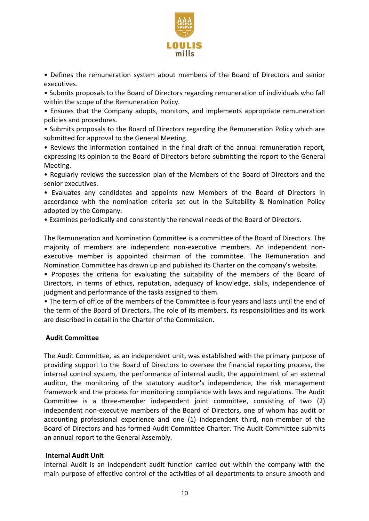

• Defines the remuneration system about members of the Board of Directors and senior executives.

• Submits proposals to the Board of Directors regarding remuneration of individuals who fall within the scope of the Remuneration Policy.

• Ensures that the Company adopts, monitors, and implements appropriate remuneration policies and procedures.

• Submits proposals to the Board of Directors regarding the Remuneration Policy which are submitted for approval to the General Meeting.

• Reviews the information contained in the final draft of the annual remuneration report, expressing its opinion to the Board of Directors before submitting the report to the General Meeting.

• Regularly reviews the succession plan of the Members of the Board of Directors and the senior executives.

• Evaluates any candidates and appoints new Members of the Board of Directors in accordance with the nomination criteria set out in the Suitability & Nomination Policy adopted by the Company.

• Examines periodically and consistently the renewal needs of the Board of Directors.

The Remuneration and Nomination Committee is a committee of the Board of Directors. The majority of members are independent non-executive members. An independent nonexecutive member is appointed chairman of the committee. The Remuneration and Nomination Committee has drawn up and published its Charter on the company's website.

• Proposes the criteria for evaluating the suitability of the members of the Board of Directors, in terms of ethics, reputation, adequacy of knowledge, skills, independence of judgment and performance of the tasks assigned to them.

• The term of office of the members of the Committee is four years and lasts until the end of the term of the Board of Directors. The role of its members, its responsibilities and its work are described in detail in the Charter of the Commission.

#### <span id="page-9-0"></span>**Audit Committee**

The Audit Committee, as an independent unit, was established with the primary purpose of providing support to the Board of Directors to oversee the financial reporting process, the internal control system, the performance of internal audit, the appointment of an external auditor, the monitoring of the statutory auditor's independence, the risk management framework and the process for monitoring compliance with laws and regulations. The Audit Committee is a three-member independent joint committee, consisting of two (2) independent non-executive members of the Board of Directors, one of whom has audit or accounting professional experience and one (1) independent third, non-member of the Board of Directors and has formed Audit Committee Charter. The Audit Committee submits an annual report to the General Assembly.

#### <span id="page-9-1"></span>**Internal Audit Unit**

Internal Audit is an independent audit function carried out within the company with the main purpose of effective control of the activities of all departments to ensure smooth and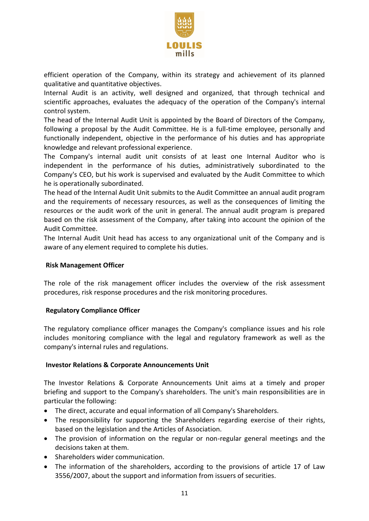

efficient operation of the Company, within its strategy and achievement of its planned qualitative and quantitative objectives.

Internal Audit is an activity, well designed and organized, that through technical and scientific approaches, evaluates the adequacy of the operation of the Company's internal control system.

The head of the Internal Audit Unit is appointed by the Board of Directors of the Company, following a proposal by the Audit Committee. He is a full-time employee, personally and functionally independent, objective in the performance of his duties and has appropriate knowledge and relevant professional experience.

The Company's internal audit unit consists of at least one Internal Auditor who is independent in the performance of his duties, administratively subordinated to the Company's CEO, but his work is supervised and evaluated by the Audit Committee to which he is operationally subordinated.

The head of the Internal Audit Unit submits to the Audit Committee an annual audit program and the requirements of necessary resources, as well as the consequences of limiting the resources or the audit work of the unit in general. The annual audit program is prepared based on the risk assessment of the Company, after taking into account the opinion of the Audit Committee.

The Internal Audit Unit head has access to any organizational unit of the Company and is aware of any element required to complete his duties.

# <span id="page-10-0"></span>**Risk Management Officer**

The role of the risk management officer includes the overview of the risk assessment procedures, risk response procedures and the risk monitoring procedures.

#### <span id="page-10-1"></span>**Regulatory Compliance Officer**

The regulatory compliance officer manages the Company's compliance issues and his role includes monitoring compliance with the legal and regulatory framework as well as the company's internal rules and regulations.

#### <span id="page-10-2"></span>**Investor Relations & Corporate Announcements Unit**

The Investor Relations & Corporate Announcements Unit aims at a timely and proper briefing and support to the Company's shareholders. The unit's main responsibilities are in particular the following:

- The direct, accurate and equal information of all Company's Shareholders.
- The responsibility for supporting the Shareholders regarding exercise of their rights, based on the legislation and the Articles of Association.
- The provision of information on the regular or non-regular general meetings and the decisions taken at them.
- Shareholders wider communication.
- The information of the shareholders, according to the provisions of article 17 of Law 3556/2007, about the support and information from issuers of securities.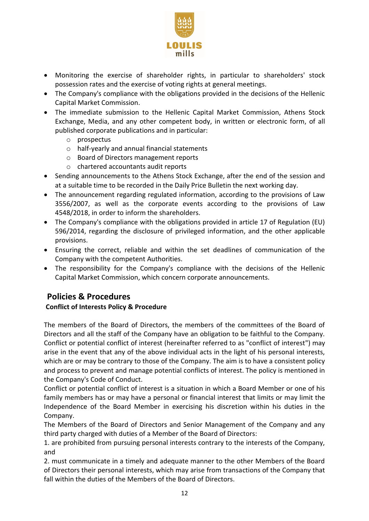

- Monitoring the exercise of shareholder rights, in particular to shareholders' stock possession rates and the exercise of voting rights at general meetings.
- The Company's compliance with the obligations provided in the decisions of the Hellenic Capital Market Commission.
- The immediate submission to the Hellenic Capital Market Commission, Athens Stock Exchange, Media, and any other competent body, in written or electronic form, of all published corporate publications and in particular:
	- o prospectus
	- o half-yearly and annual financial statements
	- o Board of Directors management reports
	- o chartered accountants audit reports
- Sending announcements to the Athens Stock Exchange, after the end of the session and at a suitable time to be recorded in the Daily Price Bulletin the next working day.
- The announcement regarding regulated information, according to the provisions of Law 3556/2007, as well as the corporate events according to the provisions of Law 4548/2018, in order to inform the shareholders.
- The Company's compliance with the obligations provided in article 17 of Regulation (EU) 596/2014, regarding the disclosure of privileged information, and the other applicable provisions.
- Ensuring the correct, reliable and within the set deadlines of communication of the Company with the competent Authorities.
- The responsibility for the Company's compliance with the decisions of the Hellenic Capital Market Commission, which concern corporate announcements.

# <span id="page-11-0"></span>**Policies & Procedures**

# <span id="page-11-1"></span>**Conflict of Interests Policy & Procedure**

The members of the Board of Directors, the members of the committees of the Board of Directors and all the staff of the Company have an obligation to be faithful to the Company. Conflict or potential conflict of interest (hereinafter referred to as "conflict of interest") may arise in the event that any of the above individual acts in the light of his personal interests, which are or may be contrary to those of the Company. The aim is to have a consistent policy and process to prevent and manage potential conflicts of interest. The policy is mentioned in the Company's Code of Conduct.

Conflict or potential conflict of interest is a situation in which a Board Member or one of his family members has or may have a personal or financial interest that limits or may limit the Independence of the Board Member in exercising his discretion within his duties in the Company.

The Members of the Board of Directors and Senior Management of the Company and any third party charged with duties of a Member of the Board of Directors:

1. are prohibited from pursuing personal interests contrary to the interests of the Company, and

2. must communicate in a timely and adequate manner to the other Members of the Board of Directors their personal interests, which may arise from transactions of the Company that fall within the duties of the Members of the Board of Directors.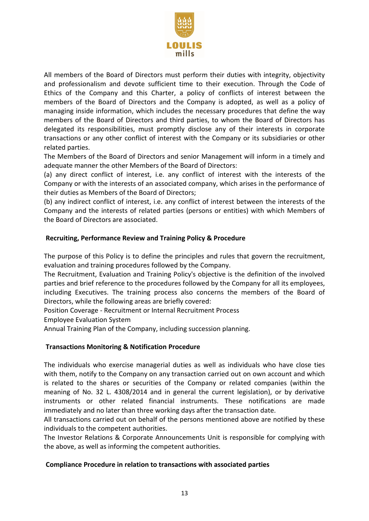

All members of the Board of Directors must perform their duties with integrity, objectivity and professionalism and devote sufficient time to their execution. Through the Code of Ethics of the Company and this Charter, a policy of conflicts of interest between the members of the Board of Directors and the Company is adopted, as well as a policy of managing inside information, which includes the necessary procedures that define the way members of the Board of Directors and third parties, to whom the Board of Directors has delegated its responsibilities, must promptly disclose any of their interests in corporate transactions or any other conflict of interest with the Company or its subsidiaries or other related parties.

The Members of the Board of Directors and senior Management will inform in a timely and adequate manner the other Members of the Board of Directors:

(a) any direct conflict of interest, i.e. any conflict of interest with the interests of the Company or with the interests of an associated company, which arises in the performance of their duties as Members of the Board of Directors;

(b) any indirect conflict of interest, i.e. any conflict of interest between the interests of the Company and the interests of related parties (persons or entities) with which Members of the Board of Directors are associated.

# <span id="page-12-0"></span>**Recruiting, Performance Review and Training Policy & Procedure**

The purpose of this Policy is to define the principles and rules that govern the recruitment, evaluation and training procedures followed by the Company.

The Recruitment, Evaluation and Training Policy's objective is the definition of the involved parties and brief reference to the procedures followed by the Company for all its employees, including Executives. The training process also concerns the members of the Board of Directors, while the following areas are briefly covered:

Position Coverage - Recruitment or Internal Recruitment Process

Employee Evaluation System

Annual Training Plan of the Company, including succession planning.

# <span id="page-12-1"></span>**Transactions Monitoring & Notification Procedure**

The individuals who exercise managerial duties as well as individuals who have close ties with them, notify to the Company on any transaction carried out on own account and which is related to the shares or securities of the Company or related companies (within the meaning of No. 32 L. 4308/2014 and in general the current legislation), or by derivative instruments or other related financial instruments. These notifications are made immediately and no later than three working days after the transaction date.

All transactions carried out on behalf of the persons mentioned above are notified by these individuals to the competent authorities.

The Investor Relations & Corporate Announcements Unit is responsible for complying with the above, as well as informing the competent authorities.

# <span id="page-12-2"></span>**Compliance Procedure in relation to transactions with associated parties**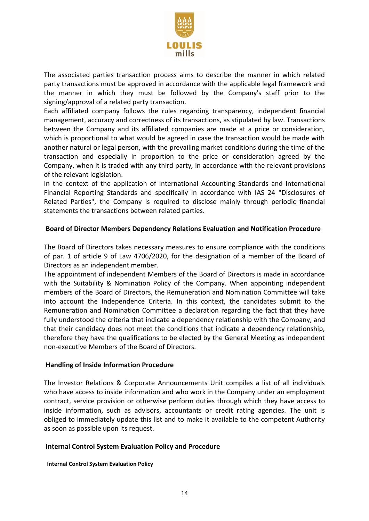

The associated parties transaction process aims to describe the manner in which related party transactions must be approved in accordance with the applicable legal framework and the manner in which they must be followed by the Company's staff prior to the signing/approval of a related party transaction.

Each affiliated company follows the rules regarding transparency, independent financial management, accuracy and correctness of its transactions, as stipulated by law. Transactions between the Company and its affiliated companies are made at a price or consideration, which is proportional to what would be agreed in case the transaction would be made with another natural or legal person, with the prevailing market conditions during the time of the transaction and especially in proportion to the price or consideration agreed by the Company, when it is traded with any third party, in accordance with the relevant provisions of the relevant legislation.

In the context of the application of International Accounting Standards and International Financial Reporting Standards and specifically in accordance with IAS 24 "Disclosures of Related Parties", the Company is required to disclose mainly through periodic financial statements the transactions between related parties.

### <span id="page-13-0"></span>**Board of Director Members Dependency Relations Evaluation and Notification Procedure**

The Board of Directors takes necessary measures to ensure compliance with the conditions of par. 1 of article 9 of Law 4706/2020, for the designation of a member of the Board of Directors as an independent member.

The appointment of independent Members of the Board of Directors is made in accordance with the Suitability & Nomination Policy of the Company. When appointing independent members of the Board of Directors, the Remuneration and Nomination Committee will take into account the Independence Criteria. In this context, the candidates submit to the Remuneration and Nomination Committee a declaration regarding the fact that they have fully understood the criteria that indicate a dependency relationship with the Company, and that their candidacy does not meet the conditions that indicate a dependency relationship, therefore they have the qualifications to be elected by the General Meeting as independent non-executive Members of the Board of Directors.

#### <span id="page-13-1"></span>**Handling of Inside Information Procedure**

The Investor Relations & Corporate Announcements Unit compiles a list of all individuals who have access to inside information and who work in the Company under an employment contract, service provision or otherwise perform duties through which they have access to inside information, such as advisors, accountants or credit rating agencies. The unit is obliged to immediately update this list and to make it available to the competent Authority as soon as possible upon its request.

# <span id="page-13-2"></span>**Internal Control System Evaluation Policy and Procedure**

<span id="page-13-3"></span>**Internal Control System Evaluation Policy**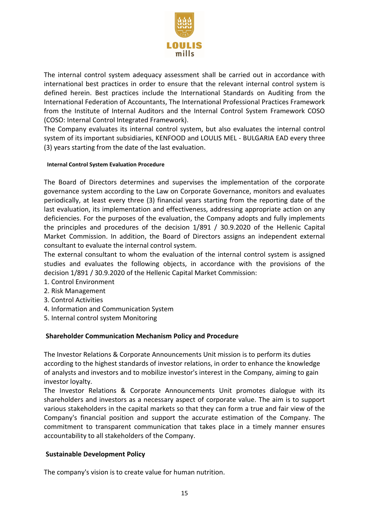

The internal control system adequacy assessment shall be carried out in accordance with international best practices in order to ensure that the relevant internal control system is defined herein. Βest practices include the International Standards on Auditing from the International Federation of Accountants, The International Professional Practices Framework from the Institute of Internal Auditors and the Internal Control System Framework COSO (COSO: Internal Control Integrated Framework).

The Company evaluates its internal control system, but also evaluates the internal control system of its important subsidiaries, KENFOOD and LOULIS MEL - BULGARIA EAD every three (3) years starting from the date of the last evaluation.

#### <span id="page-14-0"></span>**Internal Control System Evaluation Procedure**

The Board of Directors determines and supervises the implementation of the corporate governance system according to the Law on Corporate Governance, monitors and evaluates periodically, at least every three (3) financial years starting from the reporting date of the last evaluation, its implementation and effectiveness, addressing appropriate action on any deficiencies. For the purposes of the evaluation, the Company adopts and fully implements the principles and procedures of the decision 1/891 / 30.9.2020 of the Hellenic Capital Market Commission. In addition, the Board of Directors assigns an independent external consultant to evaluate the internal control system.

The external consultant to whom the evaluation of the internal control system is assigned studies and evaluates the following objects, in accordance with the provisions of the decision 1/891 / 30.9.2020 of the Hellenic Capital Market Commission:

- 1. Control Environment
- 2. Risk Management
- 3. Control Activities
- 4. Information and Communication System
- 5. Internal control system Monitoring

# <span id="page-14-1"></span>**Shareholder Communication Mechanism Policy and Procedure**

The Investor Relations & Corporate Announcements Unit mission is to perform its duties according to the highest standards of investor relations, in order to enhance the knowledge of analysts and investors and to mobilize investor's interest in the Company, aiming to gain investor loyalty.

The Investor Relations & Corporate Announcements Unit promotes dialogue with its shareholders and investors as a necessary aspect of corporate value. The aim is to support various stakeholders in the capital markets so that they can form a true and fair view of the Company's financial position and support the accurate estimation of the Company. The commitment to transparent communication that takes place in a timely manner ensures accountability to all stakeholders of the Company.

# <span id="page-14-2"></span>**Sustainable Development Policy**

The company's vision is to create value for human nutrition.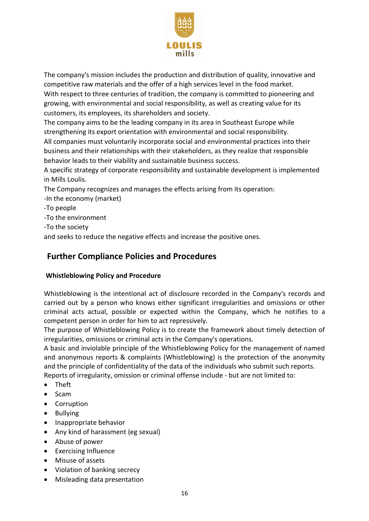

The company's mission includes the production and distribution of quality, innovative and competitive raw materials and the offer of a high services level in the food market. With respect to three centuries of tradition, the company is committed to pioneering and growing, with environmental and social responsibility, as well as creating value for its customers, its employees, its shareholders and society.

The company aims to be the leading company in its area in Southeast Europe while strengthening its export orientation with environmental and social responsibility. All companies must voluntarily incorporate social and environmental practices into their business and their relationships with their stakeholders, as they realize that responsible behavior leads to their viability and sustainable business success.

A specific strategy of corporate responsibility and sustainable development is implemented in Mills Loulis.

The Company recognizes and manages the effects arising from its operation:

-In the economy (market)

-To people

-To the environment

-To the society

and seeks to reduce the negative effects and increase the positive ones.

# <span id="page-15-0"></span>**Further Compliance Policies and Procedures**

# <span id="page-15-1"></span>**Whistleblowing Policy and Procedure**

Whistleblowing is the intentional act of disclosure recorded in the Company's records and carried out by a person who knows either significant irregularities and omissions or other criminal acts actual, possible or expected within the Company, which he notifies to a competent person in order for him to act repressively.

The purpose of Whistleblowing Policy is to create the framework about timely detection of irregularities, omissions or criminal acts in the Company's operations.

A basic and inviolable principle of the Whistleblowing Policy for the management of named and anonymous reports & complaints (Whistleblowing) is the protection of the anonymity and the principle of confidentiality of the data of the individuals who submit such reports. Reports of irregularity, omission or criminal offense include - but are not limited to:

- Theft
- Scam
- Corruption
- Bullying
- Inappropriate behavior
- Any kind of harassment (eg sexual)
- Abuse of power
- Exercising Influence
- Misuse of assets
- Violation of banking secrecy
- Misleading data presentation